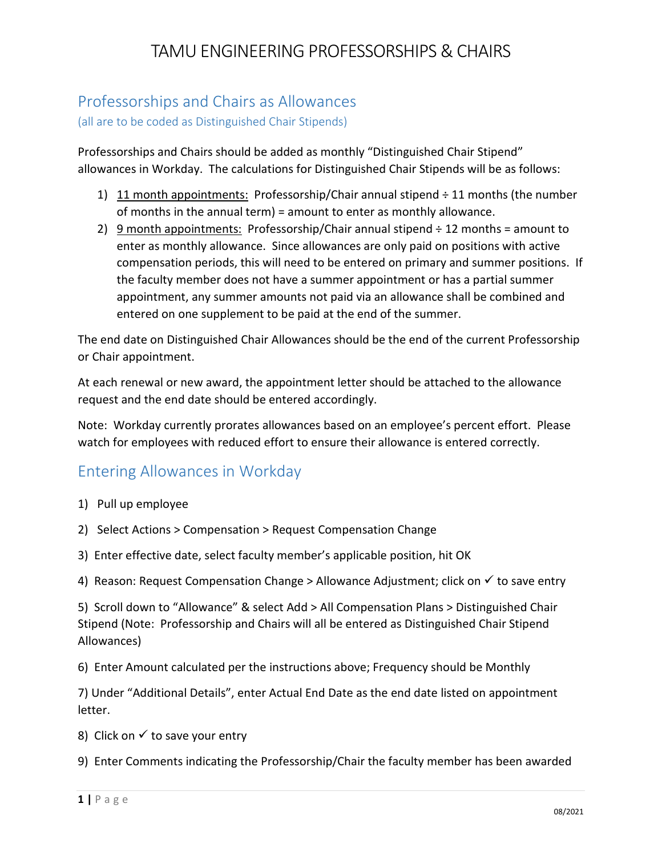## TAMU ENGINEERING PROFESSORSHIPS & CHAIRS

# Professorships and Chairs as Allowances

(all are to be coded as Distinguished Chair Stipends)

Professorships and Chairs should be added as monthly "Distinguished Chair Stipend" allowances in Workday. The calculations for Distinguished Chair Stipends will be as follows:

- 1) 11 month appointments: Professorship/Chair annual stipend ÷ 11 months (the number of months in the annual term) = amount to enter as monthly allowance.
- 2) 9 month appointments: Professorship/Chair annual stipend  $\div$  12 months = amount to enter as monthly allowance. Since allowances are only paid on positions with active compensation periods, this will need to be entered on primary and summer positions. If the faculty member does not have a summer appointment or has a partial summer appointment, any summer amounts not paid via an allowance shall be combined and entered on one supplement to be paid at the end of the summer.

The end date on Distinguished Chair Allowances should be the end of the current Professorship or Chair appointment.

At each renewal or new award, the appointment letter should be attached to the allowance request and the end date should be entered accordingly.

Note: Workday currently prorates allowances based on an employee's percent effort. Please watch for employees with reduced effort to ensure their allowance is entered correctly.

### Entering Allowances in Workday

- 1) Pull up employee
- 2) Select Actions > Compensation > Request Compensation Change
- 3) Enter effective date, select faculty member's applicable position, hit OK
- 4) Reason: Request Compensation Change > Allowance Adjustment; click on  $\checkmark$  to save entry

5) Scroll down to "Allowance" & select Add > All Compensation Plans > Distinguished Chair Stipend (Note: Professorship and Chairs will all be entered as Distinguished Chair Stipend Allowances)

6) Enter Amount calculated per the instructions above; Frequency should be Monthly

7) Under "Additional Details", enter Actual End Date as the end date listed on appointment letter.

- 8) Click on  $\checkmark$  to save your entry
- 9) Enter Comments indicating the Professorship/Chair the faculty member has been awarded